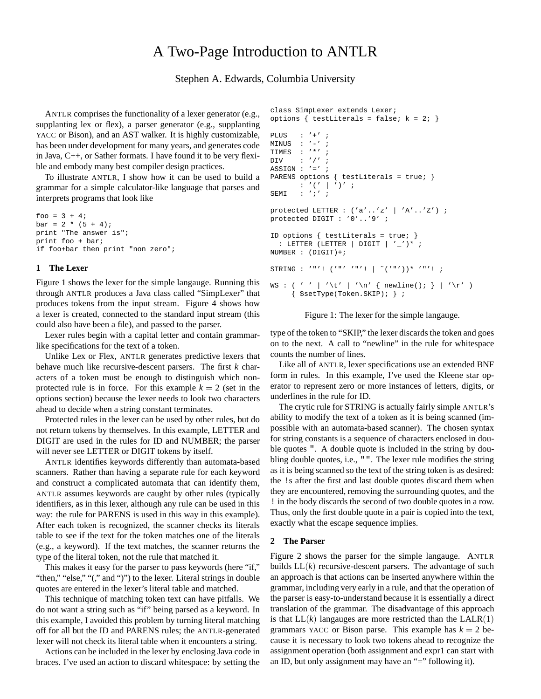# A Two-Page Introduction to ANTLR

## Stephen A. Edwards, Columbia University

ANTLR comprises the functionality of a lexer generator (e.g., supplanting lex or flex), a parser generator (e.g., supplanting YACC or Bison), and an AST walker. It is highly customizable, has been under development for many years, and generates code in Java, C++, or Sather formats. I have found it to be very flexible and embody many best compiler design practices.

To illustrate ANTLR, I show how it can be used to build a grammar for a simple calculator-like language that parses and interprets programs that look like

foo =  $3 + 4$ ;  $bar = 2 * (5 + 4)$ ; print "The answer is"; print foo + bar; if foo+bar then print "non zero";

### **1 The Lexer**

Figure 1 shows the lexer for the simple langauge. Running this through ANTLR produces a Java class called "SimpLexer" that produces tokens from the input stream. Figure 4 shows how a lexer is created, connected to the standard input stream (this could also have been a file), and passed to the parser.

Lexer rules begin with a capital letter and contain grammarlike specifications for the text of a token.

Unlike Lex or Flex, ANTLR generates predictive lexers that behave much like recursive-descent parsers. The first *k* characters of a token must be enough to distinguish which nonprotected rule is in force. For this example  $k = 2$  (set in the options section) because the lexer needs to look two characters ahead to decide when a string constant terminates.

Protected rules in the lexer can be used by other rules, but do not return tokens by themselves. In this example, LETTER and DIGIT are used in the rules for ID and NUMBER; the parser will never see LETTER or DIGIT tokens by itself.

ANTLR identifies keywords differently than automata-based scanners. Rather than having a separate rule for each keyword and construct a complicated automata that can identify them, ANTLR assumes keywords are caught by other rules (typically identifiers, as in this lexer, although any rule can be used in this way: the rule for PARENS is used in this way in this example). After each token is recognized, the scanner checks its literals table to see if the text for the token matches one of the literals (e.g., a keyword). If the text matches, the scanner returns the type of the literal token, not the rule that matched it.

This makes it easy for the parser to pass keywords (here "if," "then," "else," "(," and ")") to the lexer. Literal strings in double quotes are entered in the lexer's literal table and matched.

This technique of matching token text can have pitfalls. We do not want a string such as "if" being parsed as a keyword. In this example, I avoided this problem by turning literal matching off for all but the ID and PARENS rules; the ANTLR-generated lexer will not check its literal table when it encounters a string.

Actions can be included in the lexer by enclosing Java code in braces. I've used an action to discard whitespace: by setting the

```
class SimpLexer extends Lexer;
options { testLiterals = false; k = 2; }
PLUS : '+' ;
MINIIS : '-'':TIMES : '*' ;
DIV \qquad : '('')ASSIGN : ' =' ;
PARENS options { testLiterals = true; }
       : '(' | ')' ;
SEMI : ';' ;
protected LETTER : ('a'..'z' | 'A'..'Z') ;
protected DIGIT : '0'..'9' ;
ID options { testLiterals = true; }
  : LETTER (LETTER | DIGIT | '\_' )^* ;
NUMBER : (DIGIT)+;
STRING : '"'! ('"' '"'! | ~('"'))* '"'! ;
WS : ( ' ' | ' \t' | ' \n' { newline(); } | ' \r' )\{ $setType(Token.SKIP); \};
```
Figure 1: The lexer for the simple langauge.

type of the token to "SKIP," the lexer discards the token and goes on to the next. A call to "newline" in the rule for whitespace counts the number of lines.

Like all of ANTLR, lexer specifications use an extended BNF form in rules. In this example, I've used the Kleene star operator to represent zero or more instances of letters, digits, or underlines in the rule for ID.

The crytic rule for STRING is actually fairly simple ANTLR's ability to modify the text of a token as it is being scanned (impossible with an automata-based scanner). The chosen syntax for string constants is a sequence of characters enclosed in double quotes ". A double quote is included in the string by doubling double quotes, i.e., "". The lexer rule modifies the string as it is being scanned so the text of the string token is as desired: the !s after the first and last double quotes discard them when they are encountered, removing the surrounding quotes, and the ! in the body discards the second of two double quotes in a row. Thus, only the first double quote in a pair is copied into the text, exactly what the escape sequence implies.

#### **2 The Parser**

Figure 2 shows the parser for the simple langauge. ANTLR builds  $LL(k)$  recursive-descent parsers. The advantage of such an approach is that actions can be inserted anywhere within the grammar, including very early in a rule, and that the operation of the parser is easy-to-understand because it is essentially a direct translation of the grammar. The disadvantage of this approach is that  $LL(k)$  langauges are more restricted than the  $LALR(1)$ grammars YACC or Bison parse. This example has  $k = 2$  because it is necessary to look two tokens ahead to recognize the assignment operation (both assignment and expr1 can start with an ID, but only assignment may have an "=" following it).